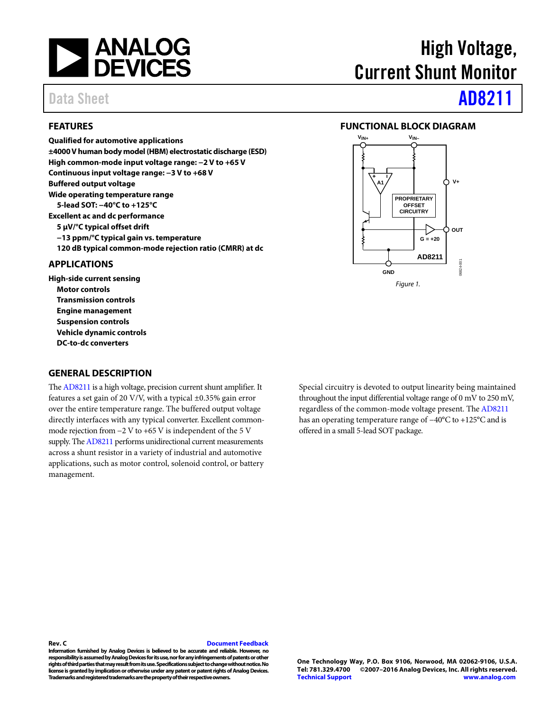

#### <span id="page-0-0"></span>**FEATURES**

**Qualified for automotive applications ±4000 V human body model (HBM) electrostatic discharge (ESD) High common-mode input voltage range: −2 V to +65 V Continuous input voltage range: −3 V to +68 V Buffered output voltage Wide operating temperature range 5-lead SOT: −40°C to +125°C Excellent ac and dc performance 5 µV/°C typical offset drift −13 ppm/°C typical gain vs. temperature 120 dB typical common-mode rejection ratio (CMRR) at dc**

#### <span id="page-0-1"></span>**APPLICATIONS**

**High-side current sensing Motor controls Transmission controls Engine management Suspension controls Vehicle dynamic controls DC-to-dc converters**

#### <span id="page-0-3"></span>**GENERAL DESCRIPTION**

Th[e AD8211](http://www.analog.com/AD8211?doc=AD8211.pdf) is a high voltage, precision current shunt amplifier. It features a set gain of 20 V/V, with a typical  $\pm$ 0.35% gain error over the entire temperature range. The buffered output voltage directly interfaces with any typical converter. Excellent commonmode rejection from −2 V to +65 V is independent of the 5 V supply. Th[e AD8211](http://www.analog.com/AD8211?doc=AD8211.pdf) performs unidirectional current measurements across a shunt resistor in a variety of industrial and automotive applications, such as motor control, solenoid control, or battery management.

High Voltage, Current Shunt Monitor

# Data Sheet **[AD8211](http://www.analog.com/AD8211?doc=AD8211.pdf)**

#### <span id="page-0-2"></span>**FUNCTIONAL BLOCK DIAGRAM**



Special circuitry is devoted to output linearity being maintained throughout the input differential voltage range of 0 mV to 250 mV, regardless of the common-mode voltage present. Th[e AD8211](http://www.analog.com/AD8211?doc=AD8211.pdf) has an operating temperature range of −40°C to +125°C and is offered in a small 5-lead SOT package.

#### **Rev. C [Document Feedback](https://form.analog.com/Form_Pages/feedback/documentfeedback.aspx?doc=AD8211.pdf&product=AD8211&rev=C)**

**Information furnished by Analog Devices is believed to be accurate and reliable. However, no responsibility is assumed by Analog Devices for its use, nor for any infringements of patents or other rights of third parties that may result from its use. Specifications subject to change without notice. No license is granted by implication or otherwise under any patent or patent rights of Analog Devices. Trademarks and registered trademarks are the property of their respective owners.**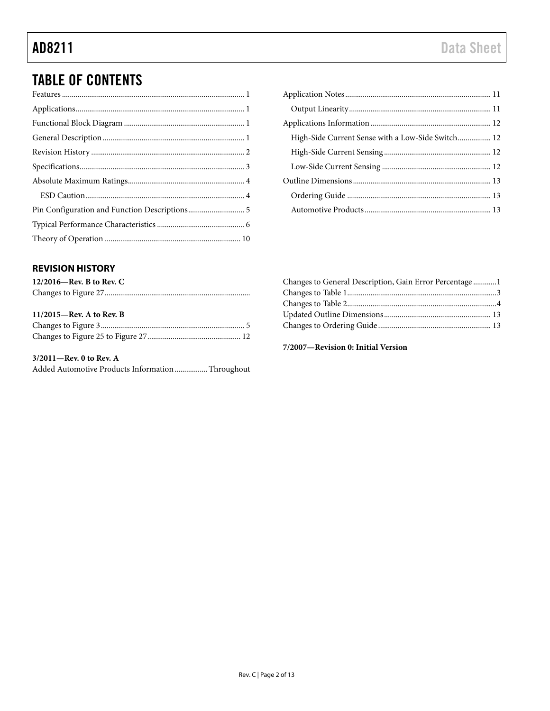# TABLE OF CONTENTS

| High-Side Current Sense with a Low-Side Switch 12 |  |
|---------------------------------------------------|--|
|                                                   |  |
|                                                   |  |
|                                                   |  |
|                                                   |  |
|                                                   |  |

### <span id="page-1-0"></span>**REVISION HISTORY**

| $12/2016$ —Rev. B to Rev. C |  |
|-----------------------------|--|
|                             |  |
|                             |  |
| $11/2015$ —Rev. A to Rev. B |  |
|                             |  |
|                             |  |

**3/2011—Rev. 0 to Rev. A**  Added Automotive Products Information ................. Throughout

| Changes to General Description, Gain Error Percentage1 |  |
|--------------------------------------------------------|--|
|                                                        |  |
|                                                        |  |
|                                                        |  |
|                                                        |  |
|                                                        |  |

**7/2007—Revision 0: Initial Version**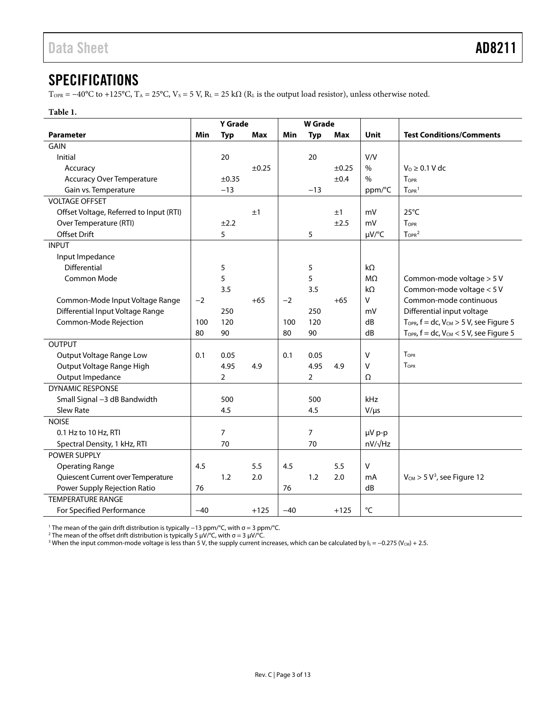### <span id="page-2-0"></span>SPECIFICATIONS

T<sub>OPR</sub> = −40°C to +125°C, T<sub>A</sub> = 25°C, V<sub>S</sub> = 5 V, R<sub>L</sub> = 25 kΩ (R<sub>L</sub> is the output load resistor), unless otherwise noted.

#### **Table 1.**

|                                         | Y Grade |            | <b>W</b> Grade |       |                |            |                |                                                     |
|-----------------------------------------|---------|------------|----------------|-------|----------------|------------|----------------|-----------------------------------------------------|
| <b>Parameter</b>                        | Min     | <b>Typ</b> | <b>Max</b>     | Min   | <b>Typ</b>     | Max        | Unit           | <b>Test Conditions/Comments</b>                     |
| <b>GAIN</b>                             |         |            |                |       |                |            |                |                                                     |
| Initial                                 |         | 20         |                |       | 20             |            | V/V            |                                                     |
| Accuracy                                |         |            | ±0.25          |       |                | $\pm 0.25$ | $\%$           | $V_0 \geq 0.1$ V dc                                 |
| <b>Accuracy Over Temperature</b>        |         | $\pm 0.35$ |                |       |                | ±0.4       | $\%$           | TOPR                                                |
| Gain vs. Temperature                    |         | $-13$      |                |       | $-13$          |            | ppm/°C         | $TOPR$ <sup>1</sup>                                 |
| <b>VOLTAGE OFFSET</b>                   |         |            |                |       |                |            |                |                                                     |
| Offset Voltage, Referred to Input (RTI) |         |            | ±1             |       |                | ±1         | mV             | $25^{\circ}$ C                                      |
| Over Temperature (RTI)                  |         | ±2.2       |                |       |                | ±2.5       | mV             | <b>TOPR</b>                                         |
| Offset Drift                            |         | 5          |                |       | 5              |            | µV/°C          | T <sub>OPR</sub> <sup>2</sup>                       |
| <b>INPUT</b>                            |         |            |                |       |                |            |                |                                                     |
| Input Impedance                         |         |            |                |       |                |            |                |                                                     |
| Differential                            |         | 5          |                |       | 5              |            | $k\Omega$      |                                                     |
| Common Mode                             |         | 5          |                |       | 5              |            | M <sub>2</sub> | Common-mode voltage > 5 V                           |
|                                         |         | 3.5        |                |       | 3.5            |            | $k\Omega$      | Common-mode voltage < 5 V                           |
| Common-Mode Input Voltage Range         | $-2$    |            | $+65$          | $-2$  |                | $+65$      | v              | Common-mode continuous                              |
| Differential Input Voltage Range        |         | 250        |                |       | 250            |            | mV             | Differential input voltage                          |
| Common-Mode Rejection                   | 100     | 120        |                | 100   | 120            |            | dB             | $T_{OPR}$ , $f = dc$ , $V_{CM} > 5$ V, see Figure 5 |
|                                         | 80      | 90         |                | 80    | 90             |            | dB             | $T_{OPR}$ , $f = dc$ , $V_{CM}$ < 5 V, see Figure 5 |
| <b>OUTPUT</b>                           |         |            |                |       |                |            |                |                                                     |
| Output Voltage Range Low                | 0.1     | 0.05       |                | 0.1   | 0.05           |            | $\vee$         | TOPR                                                |
| Output Voltage Range High               |         | 4.95       | 4.9            |       | 4.95           | 4.9        | V              | <b>TOPR</b>                                         |
| Output Impedance                        |         | 2          |                |       | $\overline{2}$ |            | Ω              |                                                     |
| <b>DYNAMIC RESPONSE</b>                 |         |            |                |       |                |            |                |                                                     |
| Small Signal -3 dB Bandwidth            |         | 500        |                |       | 500            |            | kHz            |                                                     |
| <b>Slew Rate</b>                        |         | 4.5        |                |       | 4.5            |            | $V/\mu s$      |                                                     |
| <b>NOISE</b>                            |         |            |                |       |                |            |                |                                                     |
| 0.1 Hz to 10 Hz, RTI                    |         | 7          |                |       | 7              |            | µV p-p         |                                                     |
| Spectral Density, 1 kHz, RTI            |         | 70         |                |       | 70             |            | $nV/\sqrt{Hz}$ |                                                     |
| POWER SUPPLY                            |         |            |                |       |                |            |                |                                                     |
| <b>Operating Range</b>                  | 4.5     |            | 5.5            | 4.5   |                | 5.5        | V              |                                                     |
| Quiescent Current over Temperature      |         | 1.2        | 2.0            |       | 1.2            | 2.0        | mA             | $V_{CM}$ > 5 V <sup>3</sup> , see Figure 12         |
| Power Supply Rejection Ratio            | 76      |            |                | 76    |                |            | dB             |                                                     |
| <b>TEMPERATURE RANGE</b>                |         |            |                |       |                |            |                |                                                     |
| For Specified Performance               | $-40$   |            | $+125$         | $-40$ |                | $+125$     | °C             |                                                     |

<sup>1</sup> The mean of the gain drift distribution is typically −13 ppm/°C, with σ = 3 ppm/°C.

<sup>2</sup> The mean of the offset drift distribution is typically 5 μV/°C, with σ = 3 μV/°C.

 $^3$  When the input common-mode voltage is less than 5 V, the supply current increases, which can be calculated by Is = −0.275 (V $_{\rm{CM}}$  + 2.5.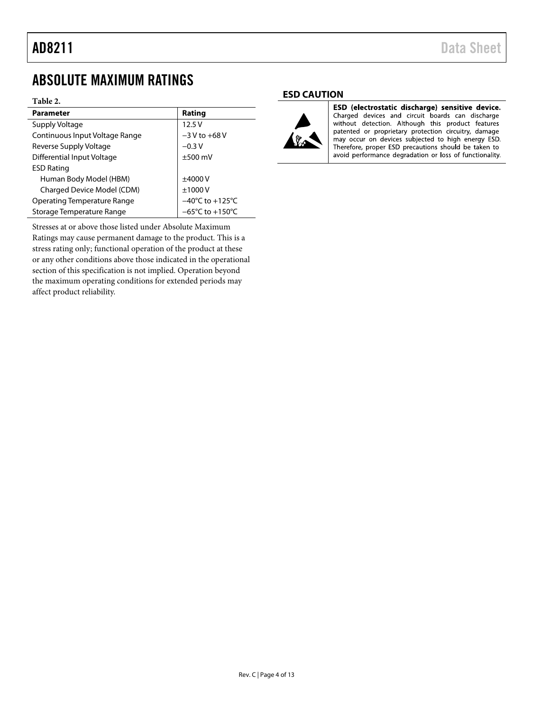### <span id="page-3-0"></span>ABSOLUTE MAXIMUM RATINGS

#### **Table 2.**

| <b>Parameter</b>                   | Rating                              |
|------------------------------------|-------------------------------------|
| Supply Voltage                     | 12.5V                               |
| Continuous Input Voltage Range     | $-3$ V to $+68$ V                   |
| Reverse Supply Voltage             | $-0.3 V$                            |
| Differential Input Voltage         | $±500$ mV                           |
| <b>ESD Rating</b>                  |                                     |
| Human Body Model (HBM)             | $+4000V$                            |
| Charged Device Model (CDM)         | ±1000V                              |
| <b>Operating Temperature Range</b> | $-40^{\circ}$ C to $+125^{\circ}$ C |
| Storage Temperature Range          | $-65^{\circ}$ C to $+150^{\circ}$ C |

Stresses at or above those listed under Absolute Maximum Ratings may cause permanent damage to the product. This is a stress rating only; functional operation of the product at these or any other conditions above those indicated in the operational section of this specification is not implied. Operation beyond the maximum operating conditions for extended periods may affect product reliability.

#### <span id="page-3-1"></span>**ESD CAUTION**



ESD (electrostatic discharge) sensitive device. Charged devices and circuit boards can discharge without detection. Although this product features patented or proprietary protection circuitry, damage may occur on devices subjected to high energy ESD. Therefore, proper ESD precautions should be taken to avoid performance degradation or loss of functionality.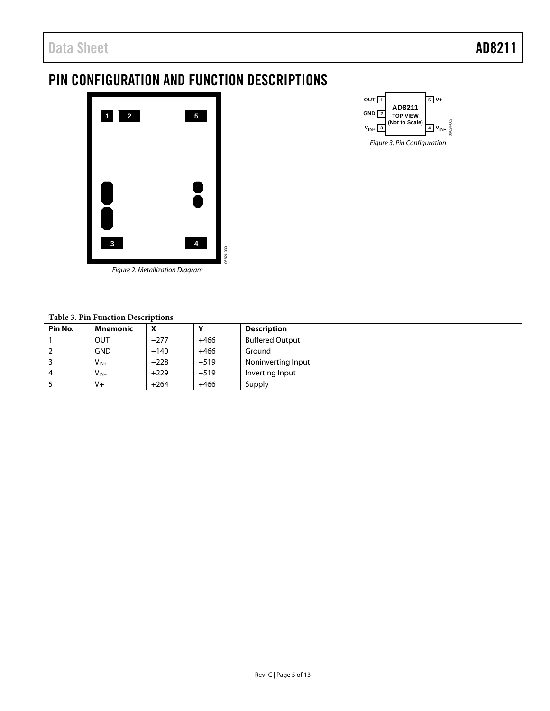# <span id="page-4-0"></span>PIN CONFIGURATION AND FUNCTION DESCRIPTIONS



06824-002 OUT  $\boxed{1}$ **GND 2 VIN+ <sup>3</sup> 5 V+ VIN– <sup>4</sup> AD8211 TOP VIEW (Not to Scale)** Figure 3. Pin Configuration

Figure 2. Metallization Diagram

#### **Table 3. Pin Function Descriptions**

| Pin No. | Mnemonic   | Λ      | v      | <b>Description</b>     |  |  |  |
|---------|------------|--------|--------|------------------------|--|--|--|
|         | OUT        | $-277$ | $+466$ | <b>Buffered Output</b> |  |  |  |
|         | <b>GND</b> | $-140$ | $+466$ | Ground                 |  |  |  |
|         | $V_{IN+}$  | $-228$ | $-519$ | Noninverting Input     |  |  |  |
| 4       | $V_{IN-}$  | $+229$ | $-519$ | Inverting Input        |  |  |  |
|         | $V +$      | $+264$ | $+466$ | Supply                 |  |  |  |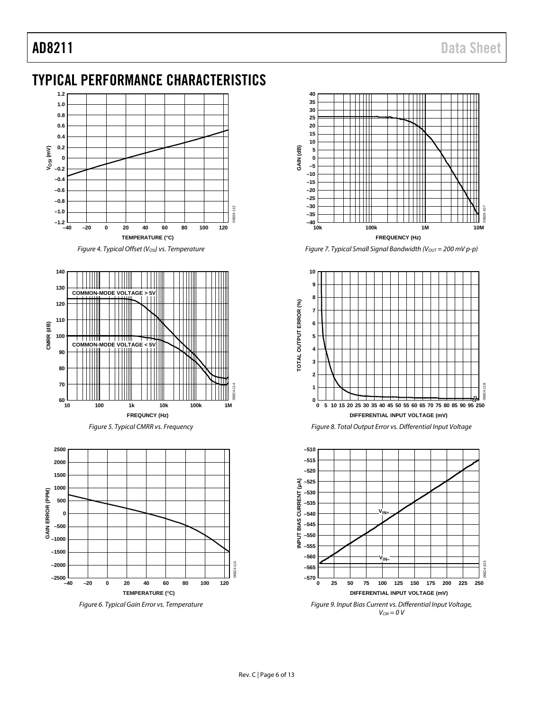# <span id="page-5-0"></span>TYPICAL PERFORMANCE CHARACTERISTICS



*Figure 4. Typical Offset (Vosi) vs. Temperature* 





<span id="page-5-1"></span>



*Figure 7. Typical Small Signal Bandwidth (Vout* = 200 mV p-p)





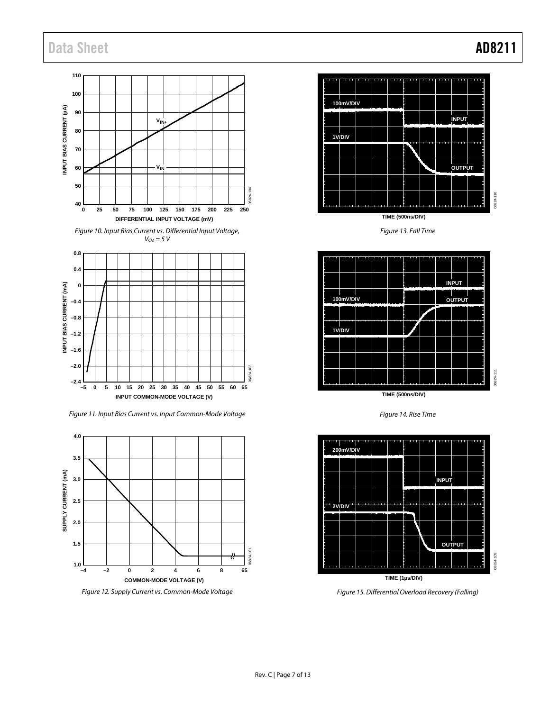### Data Sheet **AD8211**



<span id="page-6-0"></span>*Figure 12. Supply Current vs. Common-Mode Voltage*

**–4 65**

**–2 0 2 4 6 8**

**COMMON-MODE VOLTAGE (V)**

**TIME (1µs/DIV)** *Figure 15. Differential Overload Recovery (Falling)*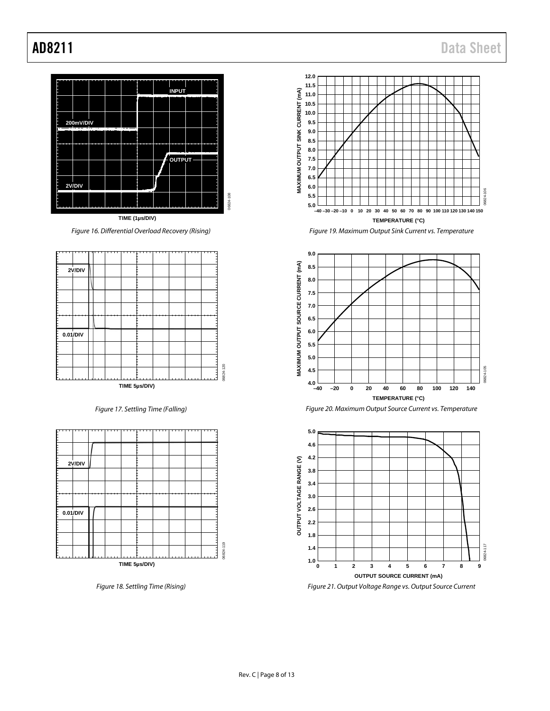

Figure 16. Differential Overload Recovery (Rising)



Figure 17. Settling Time (Falling)



Figure 18. Settling Time (Rising)









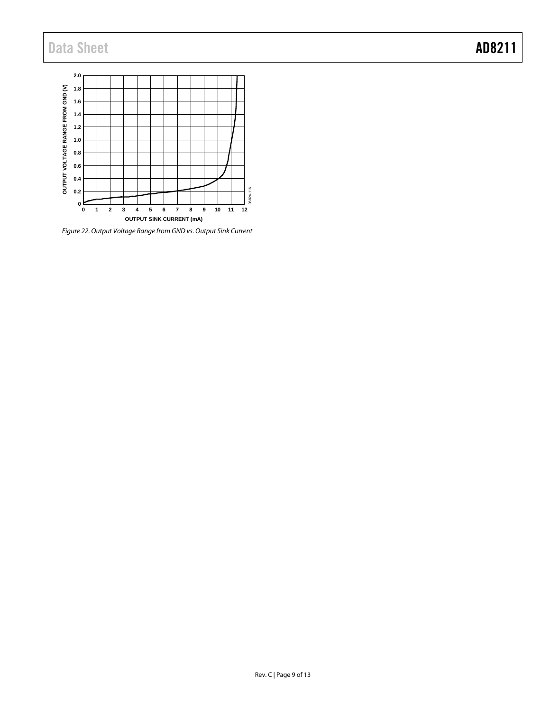# Data Sheet **AD8211**



*Figure 22. Output Voltage Range from GND vs. Output Sink Current*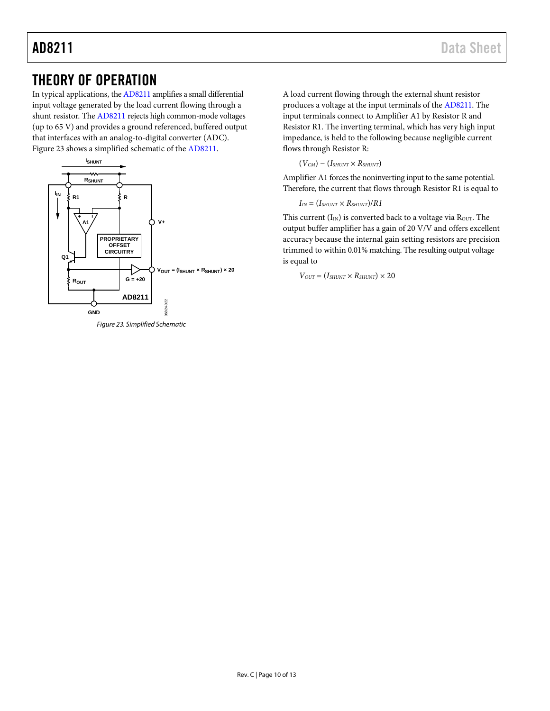### <span id="page-9-0"></span>THEORY OF OPERATION

In typical applications, th[e AD8211](http://www.analog.com/AD8211?doc=AD8211.pdf) amplifies a small differential input voltage generated by the load current flowing through a shunt resistor. The [AD8211](http://www.analog.com/AD8211?doc=AD8211.pdf) rejects high common-mode voltages (up to 65 V) and provides a ground referenced, buffered output that interfaces with an analog-to-digital converter (ADC). [Figure 23](#page-9-1) shows a simplified schematic of th[e AD8211.](http://www.analog.com/AD8211?doc=AD8211.pdf)



<span id="page-9-1"></span>*Figure 23. Simplified Schematic*

A load current flowing through the external shunt resistor produces a voltage at the input terminals of the [AD8211.](http://www.analog.com/AD8211?doc=AD8211.pdf) The input terminals connect to Amplifier A1 by Resistor R and Resistor R1. The inverting terminal, which has very high input impedance, is held to the following because negligible current flows through Resistor R:

 $(V_{CM}) - (I_{SHUNT} \times R_{SHUNT})$ 

Amplifier A1 forces the noninverting input to the same potential. Therefore, the current that flows through Resistor R1 is equal to

$$
I_{\text{IN}} = (I_{\text{SHUNT}} \times R_{\text{SHUNT}})/R1
$$

This current  $(I_{IN})$  is converted back to a voltage via  $R_{OUT}$ . The output buffer amplifier has a gain of 20 V/V and offers excellent accuracy because the internal gain setting resistors are precision trimmed to within 0.01% matching. The resulting output voltage is equal to

 $V_{OUT} = (I_{SHUNT} \times R_{SHUNT}) \times 20$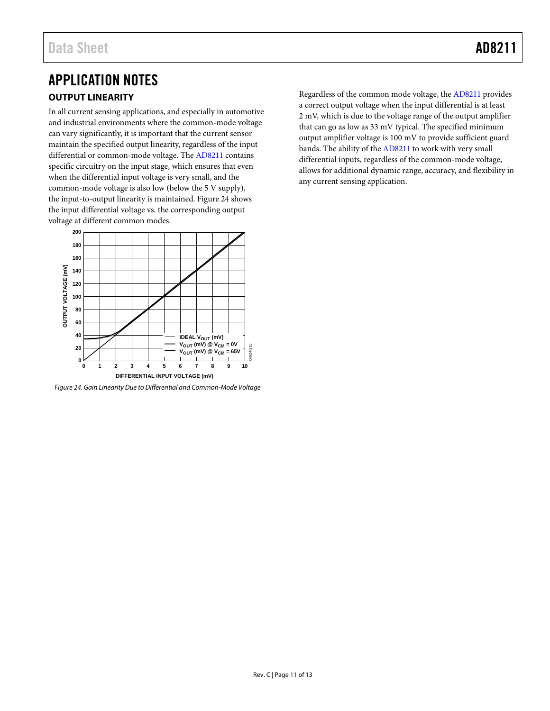### <span id="page-10-1"></span><span id="page-10-0"></span>APPLICATION NOTES **OUTPUT LINEARITY**

In all current sensing applications, and especially in automotive and industrial environments where the common-mode voltage can vary significantly, it is important that the current sensor maintain the specified output linearity, regardless of the input differential or common-mode voltage. The [AD8211](http://www.analog.com/AD8211?doc=AD8211.pdf) contains specific circuitry on the input stage, which ensures that even when the differential input voltage is very small, and the common-mode voltage is also low (below the 5 V supply), the input-to-output linearity is maintained[. Figure 24](#page-10-2) shows the input differential voltage vs. the corresponding output voltage at different common modes.



<span id="page-10-2"></span>*Figure 24. Gain Linearity Due to Differential and Common-Mode Voltage* 

Regardless of the common mode voltage, the [AD8211](http://www.analog.com/AD8211?doc=AD8211.pdf) provides a correct output voltage when the input differential is at least 2 mV, which is due to the voltage range of the output amplifier that can go as low as 33 mV typical. The specified minimum output amplifier voltage is 100 mV to provide sufficient guard bands. The ability of th[e AD8211](http://www.analog.com/AD8211?doc=AD8211.pdf) to work with very small differential inputs, regardless of the common-mode voltage, allows for additional dynamic range, accuracy, and flexibility in any current sensing application.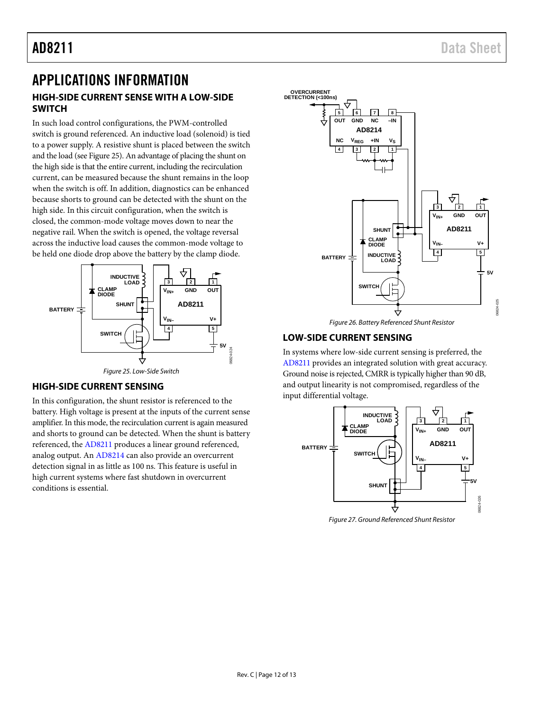### <span id="page-11-1"></span><span id="page-11-0"></span>APPLICATIONS INFORMATION **HIGH-SIDE CURRENT SENSE WITH A LOW-SIDE SWITCH**

In such load control configurations, the PWM-controlled switch is ground referenced. An inductive load (solenoid) is tied to a power supply. A resistive shunt is placed between the switch and the load (se[e Figure 25\)](#page-11-4). An advantage of placing the shunt on the high side is that the entire current, including the recirculation current, can be measured because the shunt remains in the loop when the switch is off. In addition, diagnostics can be enhanced because shorts to ground can be detected with the shunt on the high side. In this circuit configuration, when the switch is closed, the common-mode voltage moves down to near the negative rail. When the switch is opened, the voltage reversal across the inductive load causes the common-mode voltage to be held one diode drop above the battery by the clamp diode.



#### <span id="page-11-4"></span><span id="page-11-2"></span>**HIGH-SIDE CURRENT SENSING**

In this configuration, the shunt resistor is referenced to the battery. High voltage is present at the inputs of the current sense amplifier. In this mode, the recirculation current is again measured and shorts to ground can be detected. When the shunt is battery referenced, th[e AD8211](http://www.analog.com/AD8211?doc=AD8211.pdf) produces a linear ground referenced, analog output. A[n AD8214 c](http://www.analog.com/AD8214?doc=AD8211.pdf)an also provide an overcurrent detection signal in as little as 100 ns. This feature is useful in high current systems where fast shutdown in overcurrent conditions is essential.



Figure 26. Battery Referenced Shunt Resistor

### <span id="page-11-3"></span>**LOW-SIDE CURRENT SENSING**

In systems where low-side current sensing is preferred, the [AD8211 p](http://www.analog.com/AD8211?doc=AD8211.pdf)rovides an integrated solution with great accuracy. Ground noise is rejected, CMRR is typically higher than 90 dB, and output linearity is not compromised, regardless of the input differential voltage.



Figure 27. Ground Referenced Shunt Resistor